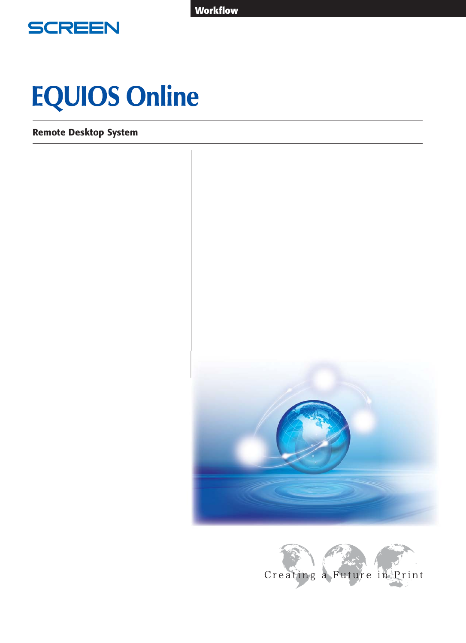**Workflow** 



# **EQUIOS Online**

Remote Desktop System



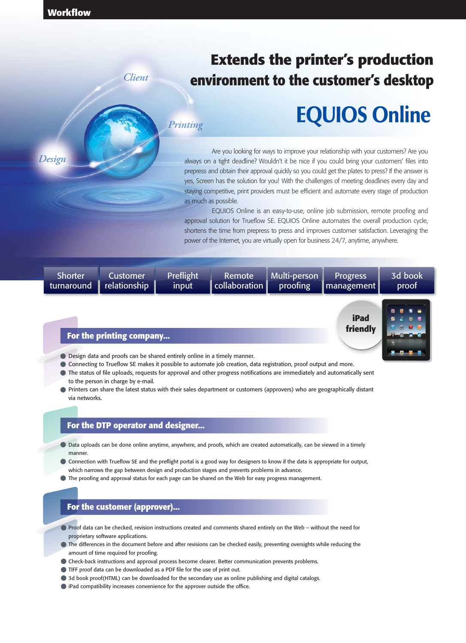*Design*

## **Extends the printer's production environment to the customer's desktop**

## *Printing*

*Client*

## **EQUIOS Online**

**friendly**

 Are you looking for ways to improve your relationship with your customers? Are you always on a tight deadline? Wouldn't it be nice if you could bring your customers' files into prepress and obtain their approval quickly so you could get the plates to press? If the answer is yes, Screen has the solution for you! With the challenges of meeting deadlines every day and staying competitive, print providers must be efficient and automate every stage of production as much as possible.

 EQUIOS Online is an easy-to-use, online job submission, remote proofing and approval solution for Trueflow SE. EQUIOS Online automates the overall production cycle, shortens the time from prepress to press and improves customer satisfaction. Leveraging the power of the Internet, you are virtually open for business 24/7, anytime, anywhere.

| <b>Shorter</b> | <b>Customer</b> | Preflight | Remote        | Multi-person | <b>Progress</b>     | 3d book |
|----------------|-----------------|-----------|---------------|--------------|---------------------|---------|
| turnaround     | relationship    | input     | collaboration | proofing     | <b>I</b> management | proof   |
|                |                 |           |               |              | iPad                |         |

## **For the printing company...**

- **Design data and proofs can be shared entirely online in a timely manner.**
- Connecting to Trueflow SE makes it possible to automate job creation, data registration, proof output and more.
- The status of file uploads, requests for approval and other progress notifications are immediately and automatically sent to the person in charge by e-mail.
- Printers can share the latest status with their sales department or customers (approvers) who are geographically distant via networks.

## **For the DTP operator and designer...**

- $\bullet$  Data uploads can be done online anytime, anywhere, and proofs, which are created automatically, can be viewed in a timely manner.
- Connection with Trueflow SE and the preflight portal is a good way for designers to know if the data is appropriate for output, which narrows the gap between design and production stages and prevents problems in advance.
- $\bullet$  The proofing and approval status for each page can be shared on the Web for easy progress management.

## **For the customer (approver)...**

- Proof data can be checked, revision instructions created and comments shared entirely on the Web without the need for proprietary software applications.
- The differences in the document before and after revisions can be checked easily, preventing oversights while reducing the amount of time required for proofing.
- Check-back instructions and approval process become clearer. Better communication prevents problems.
- TIFF proof data can be downloaded as a PDF file for the use of print out.
- 3d book proof(HTML) can be downloaded for the secondary use as online publishing and digital catalogs.
- $\bullet$  iPad compatibility increases convenience for the approver outside the office.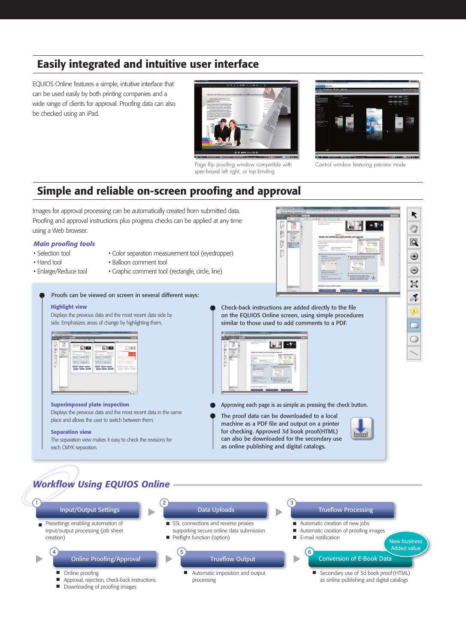## Easily integrated and intuitive user interface

EQUIOS Online features a simple, intuitive interface that can be used easily by both printing companies and a wide range of clients for approval. Proofing data can also be checked using an iPad.



Page flip proofing window compatible with spec-based left right, or top binding



Control window featuring preview mode

## Simple and reliable on-screen proofing and approval



input/output processing (job sheet creation)

#### Online Proofing/Approval  $\overline{a}$  4  $\overline{b}$  5  $\overline{b}$  5  $\overline{b}$  5  $\overline{b}$  5  $\overline{b}$  5  $\overline{b}$  5  $\overline{b}$  5  $\overline{b}$  5  $\overline{b}$  5  $\overline{b}$  5  $\overline{b}$  5  $\overline{b}$  5  $\overline{b}$  5  $\overline{b}$  5  $\overline{b}$  5  $\overline{b}$  5  $\overline{b}$  5  $\overline{b}$  5  $\overline{b}$  5

- **Online proofing**
- Approval, rejection, check-back instructions ■
- Downloading of proofing images
- supporting secure online data submission
- Preflight function (option)

## Trueflow Output

- Online proofing and the state of the state of the state of the state of the state of the state of the state of the state of the state of the state of the state of the state of the state of the state of the state of the processing
- Automatic creation of proofing images ■
	- E-mail notification

#### $\epsilon$ Conversion of E-Book Data

Secondary use of 3d book proof (HTML) as online publishing and digital catalogs

New business Added value